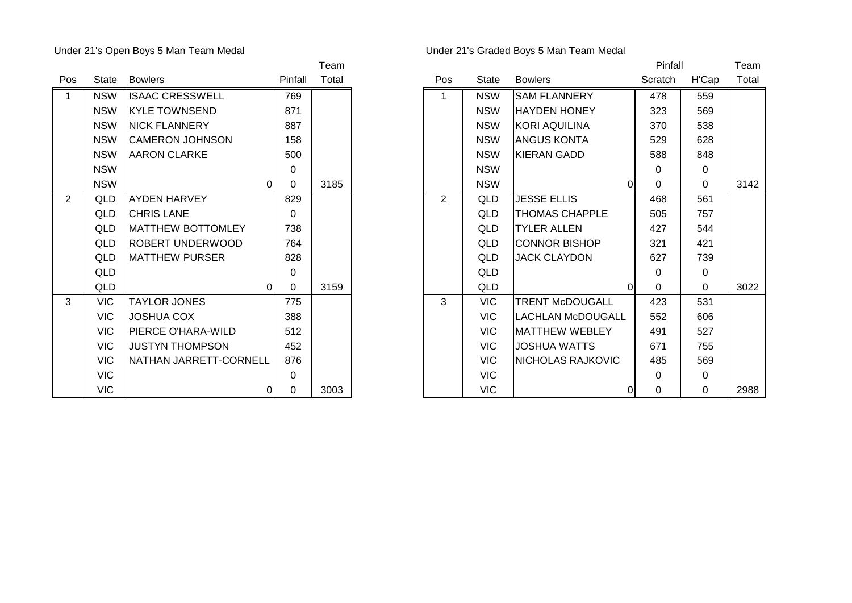## Under 21's Open Boys 5 Man Team Medal Under 21's Graded Boys 5 Man Team Medal

| Pos            | State      | <b>Bowlers</b>           | Pinfall     | Total |
|----------------|------------|--------------------------|-------------|-------|
| 1              | <b>NSW</b> | <b>ISAAC CRESSWELL</b>   | 769         |       |
|                | <b>NSW</b> | <b>KYLE TOWNSEND</b>     | 871         |       |
|                | <b>NSW</b> | <b>NICK FLANNERY</b>     | 887         |       |
|                | <b>NSW</b> | <b>CAMERON JOHNSON</b>   | 158         |       |
|                | <b>NSW</b> | <b>AARON CLARKE</b>      | 500         |       |
|                | <b>NSW</b> |                          | 0           |       |
|                | <b>NSW</b> | 0                        | $\mathbf 0$ | 3185  |
| $\overline{2}$ | QLD.       | AYDEN HARVEY             | 829         |       |
|                | QLD        | <b>CHRIS LANE</b>        | $\Omega$    |       |
|                | QLD        | <b>MATTHEW BOTTOMLEY</b> | 738         |       |
|                | QLD.       | ROBERT UNDERWOOD         | 764         |       |
|                | <b>QLD</b> | <b>MATTHEW PURSER</b>    | 828         |       |
|                | QLD        |                          | $\Omega$    |       |
|                | QLD        | 0                        | 0           | 3159  |
| 3              | <b>VIC</b> | <b>TAYLOR JONES</b>      | 775         |       |
|                | <b>VIC</b> | JOSHUA COX               | 388         |       |
|                | <b>VIC</b> | PIERCE O'HARA-WILD       | 512         |       |
|                | <b>VIC</b> | <b>JUSTYN THOMPSON</b>   | 452         |       |
|                | <b>VIC</b> | NATHAN JARRETT-CORNELL   | 876         |       |
|                | <b>VIC</b> |                          | 0           |       |
|                | <b>VIC</b> | 0                        | 0           | 3003  |

|                |            |                           |          | Team  |            |              |                            | Pinfall  |             | Team  |
|----------------|------------|---------------------------|----------|-------|------------|--------------|----------------------------|----------|-------------|-------|
| Pos            | State      | <b>Bowlers</b>            | Pinfall  | Total | <b>Pos</b> | <b>State</b> | <b>Bowlers</b>             | Scratch  | H'Cap       | Total |
| $\mathbf 1$    | <b>NSW</b> | <b>ISAAC CRESSWELL</b>    | 769      |       | 1          | <b>NSW</b>   | <b>SAM FLANNERY</b>        | 478      | 559         |       |
|                | <b>NSW</b> | <b>IKYLE TOWNSEND</b>     | 871      |       |            | <b>NSW</b>   | <b>HAYDEN HONEY</b>        | 323      | 569         |       |
|                | <b>NSW</b> | <b>NICK FLANNERY</b>      | 887      |       |            | <b>NSW</b>   | <b>KORI AQUILINA</b>       | 370      | 538         |       |
|                | <b>NSW</b> | <b>CAMERON JOHNSON</b>    | 158      |       |            | <b>NSW</b>   | <b>JANGUS KONTA</b>        | 529      | 628         |       |
|                | <b>NSW</b> | <b>AARON CLARKE</b>       | 500      |       |            | <b>NSW</b>   | KIERAN GADD                | 588      | 848         |       |
|                | <b>NSW</b> |                           | 0        |       |            | <b>NSW</b>   |                            | 0        | 0           |       |
|                | <b>NSW</b> | $\overline{0}$            | 0        | 3185  |            | <b>NSW</b>   | 01                         | $\Omega$ | $\Omega$    | 3142  |
| $\overline{2}$ | QLD        | <b>AYDEN HARVEY</b>       | 829      |       | 2          | QLD          | <b>JESSE ELLIS</b>         | 468      | 561         |       |
|                | QLD        | <b>CHRIS LANE</b>         | $\Omega$ |       |            | QLD          | <b>THOMAS CHAPPLE</b>      | 505      | 757         |       |
|                | QLD        | <b>IMATTHEW BOTTOMLEY</b> | 738      |       |            | QLD          | <b>TYLER ALLEN</b>         | 427      | 544         |       |
|                | QLD        | IROBERT UNDERWOOD         | 764      |       |            | QLD          | ICONNOR BISHOP             | 321      | 421         |       |
|                | QLD        | <b>MATTHEW PURSER</b>     | 828      |       |            | <b>QLD</b>   | <b>JACK CLAYDON</b>        | 627      | 739         |       |
|                | QLD        |                           | $\Omega$ |       |            | QLD          |                            | 0        | 0           |       |
|                | QLD        | 0                         | 0        | 3159  |            | <b>QLD</b>   | 01                         | $\Omega$ | $\mathbf 0$ | 3022  |
| 3              | <b>VIC</b> | <b>TAYLOR JONES</b>       | 775      |       | 3          | <b>VIC</b>   | <b>TRENT McDOUGALL</b>     | 423      | 531         |       |
|                | <b>VIC</b> | <b>JOSHUA COX</b>         | 388      |       |            | <b>VIC</b>   | <b>I</b> LACHLAN McDOUGALL | 552      | 606         |       |
|                | <b>VIC</b> | PIERCE O'HARA-WILD        | 512      |       |            | <b>VIC</b>   | <b>I</b> MATTHEW WEBLEY    | 491      | 527         |       |
|                | <b>VIC</b> | <b>JUSTYN THOMPSON</b>    | 452      |       |            | <b>VIC</b>   | IJOSHUA WATTS              | 671      | 755         |       |
|                | <b>VIC</b> | NATHAN JARRETT-CORNELL    | 876      |       |            | <b>VIC</b>   | NICHOLAS RAJKOVIC          | 485      | 569         |       |
|                | <b>VIC</b> |                           | $\Omega$ |       |            | <b>VIC</b>   |                            | 0        | $\mathbf 0$ |       |
|                | <b>VIC</b> | $\overline{0}$            | 0        | 3003  |            | <b>VIC</b>   | 01                         | 0        | $\mathbf 0$ | 2988  |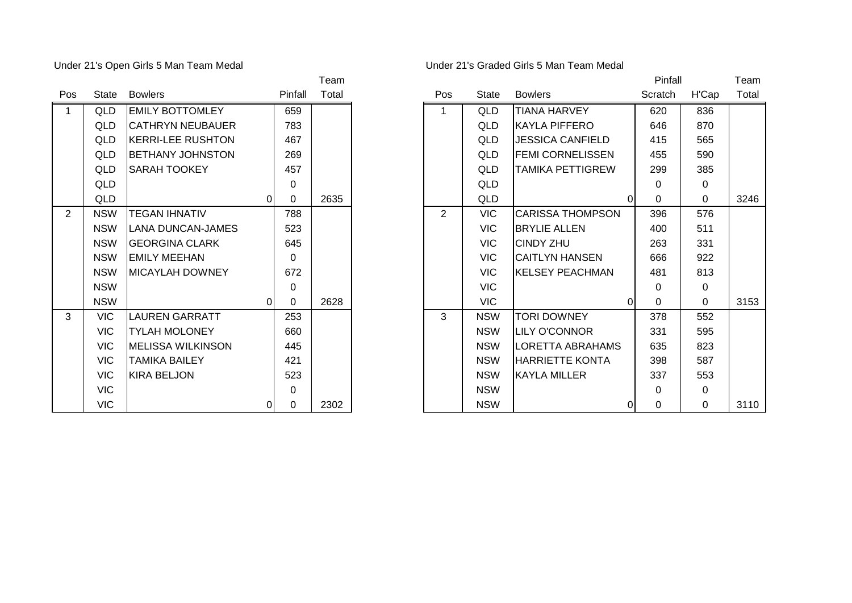Under 21's Open Girls 5 Man Team Medal

| Under 21's Graded Girls 5 Man Team Medal |  |  |  |  |
|------------------------------------------|--|--|--|--|
|------------------------------------------|--|--|--|--|

| Pos            | <b>State</b> | <b>Bowlers</b>           | Pinfall  | Total |
|----------------|--------------|--------------------------|----------|-------|
| 1              | QLD          | <b>EMILY BOTTOMLEY</b>   | 659      |       |
|                | QLD          | <b>CATHRYN NEUBAUER</b>  | 783      |       |
|                | QLD          | <b>KERRI-LEE RUSHTON</b> | 467      |       |
|                | QLD          | BETHANY JOHNSTON         | 269      |       |
|                | QLD          | <b>SARAH TOOKEY</b>      | 457      |       |
|                | QLD          |                          | 0        |       |
|                | <b>QLD</b>   | 0                        | 0        | 2635  |
| $\overline{2}$ | <b>NSW</b>   | <b>TEGAN IHNATIV</b>     | 788      |       |
|                | <b>NSW</b>   | <b>LANA DUNCAN-JAMES</b> | 523      |       |
|                | <b>NSW</b>   | <b>GEORGINA CLARK</b>    | 645      |       |
|                | <b>NSW</b>   | <b>EMILY MEEHAN</b>      | $\Omega$ |       |
|                | <b>NSW</b>   | <b>MICAYLAH DOWNEY</b>   | 672      |       |
|                | <b>NSW</b>   |                          | $\Omega$ |       |
|                | <b>NSW</b>   | 0                        | $\Omega$ | 2628  |
| 3              | <b>VIC</b>   | <b>LAUREN GARRATT</b>    | 253      |       |
|                | <b>VIC</b>   | <b>TYLAH MOLONEY</b>     | 660      |       |
|                | <b>VIC</b>   | <b>MELISSA WILKINSON</b> | 445      |       |
|                | <b>VIC</b>   | <b>TAMIKA BAILEY</b>     | 421      |       |
|                | <b>VIC</b>   | <b>KIRA BELJON</b>       | 523      |       |
|                | <b>VIC</b>   |                          | 0        |       |
|                | <b>VIC</b>   | 0                        | 0        | 2302  |

|                |            |                          |                |          | Team  |                |              |                         | Pinfall  |             | Team  |
|----------------|------------|--------------------------|----------------|----------|-------|----------------|--------------|-------------------------|----------|-------------|-------|
| Pos            | State      | <b>Bowlers</b>           |                | Pinfall  | Total | Pos            | <b>State</b> | <b>Bowlers</b>          | Scratch  | H'Cap       | Total |
| $\overline{1}$ | QLD        | <b>EMILY BOTTOMLEY</b>   |                | 659      |       | 1              | QLD          | <b>TIANA HARVEY</b>     | 620      | 836         |       |
|                | QLD        | ICATHRYN NEUBAUER        |                | 783      |       |                | QLD          | IKAYLA PIFFERO          | 646      | 870         |       |
|                | QLD        | <b>KERRI-LEE RUSHTON</b> |                | 467      |       |                | QLD          | <b>JESSICA CANFIELD</b> | 415      | 565         |       |
|                | QLD        | <b>BETHANY JOHNSTON</b>  |                | 269      |       |                | QLD          | <b>FEMI CORNELISSEN</b> | 455      | 590         |       |
|                | QLD        | <b>SARAH TOOKEY</b>      |                | 457      |       |                | QLD          | <b>TAMIKA PETTIGREW</b> | 299      | 385         |       |
|                | QLD        |                          |                | 0        |       |                | <b>QLD</b>   |                         | 0        | 0           |       |
|                | QLD        |                          | ΩI             | 0        | 2635  |                | <b>QLD</b>   | $\Omega$                | $\Omega$ | $\Omega$    | 3246  |
| 2              | <b>NSW</b> | <b>TEGAN IHNATIV</b>     |                | 788      |       | $\overline{2}$ | <b>VIC</b>   | <b>CARISSA THOMPSON</b> | 396      | 576         |       |
|                | <b>NSW</b> | LANA DUNCAN-JAMES        |                | 523      |       |                | <b>VIC</b>   | <b>IBRYLIE ALLEN</b>    | 400      | 511         |       |
|                | <b>NSW</b> | IGEORGINA CLARK          |                | 645      |       |                | <b>VIC</b>   | <b>CINDY ZHU</b>        | 263      | 331         |       |
|                | <b>NSW</b> | <b>EMILY MEEHAN</b>      |                | $\Omega$ |       |                | VIC.         | ICAITLYN HANSEN         | 666      | 922         |       |
|                | <b>NSW</b> | <b>IMICAYLAH DOWNEY</b>  |                | 672      |       |                | <b>VIC</b>   | <b>KELSEY PEACHMAN</b>  | 481      | 813         |       |
|                | <b>NSW</b> |                          |                | $\Omega$ |       |                | <b>VIC</b>   |                         | 0        | 0           |       |
|                | <b>NSW</b> |                          | 0              | $\Omega$ | 2628  |                | <b>VIC</b>   | 01                      | $\Omega$ | $\mathbf 0$ | 3153  |
| $\mathbf{3}$   | <b>VIC</b> | <b>LAUREN GARRATT</b>    |                | 253      |       | 3              | <b>NSW</b>   | <b>TORI DOWNEY</b>      | 378      | 552         |       |
|                | VIC.       | <b>TYLAH MOLONEY</b>     |                | 660      |       |                | <b>NSW</b>   | <b>ILILY O'CONNOR</b>   | 331      | 595         |       |
|                | <b>VIC</b> | <b>MELISSA WILKINSON</b> |                | 445      |       |                | <b>NSW</b>   | LORETTA ABRAHAMS        | 635      | 823         |       |
|                | <b>VIC</b> | ITAMIKA BAILEY           |                | 421      |       |                | <b>NSW</b>   | <b>HARRIETTE KONTA</b>  | 398      | 587         |       |
|                | <b>VIC</b> | <b>KIRA BELJON</b>       |                | 523      |       |                | <b>NSW</b>   | <b>IKAYLA MILLER</b>    | 337      | 553         |       |
|                | <b>VIC</b> |                          |                | $\Omega$ |       |                | <b>NSW</b>   |                         | 0        | $\mathbf 0$ |       |
|                | <b>VIC</b> |                          | $\overline{0}$ | 0        | 2302  |                | <b>NSW</b>   | 0                       | 0        | $\Omega$    | 3110  |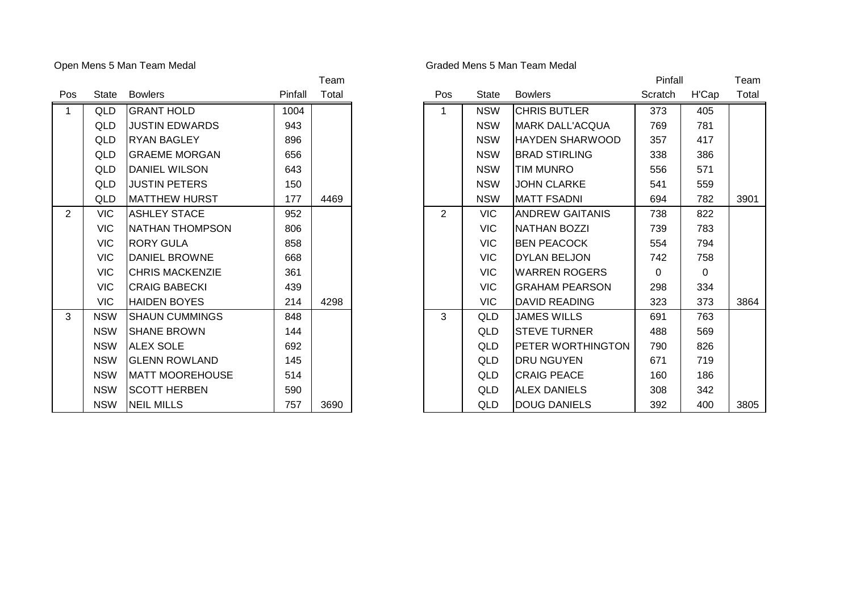## Open Mens 5 Man Team Medal **Graded Mens 5 Man Team Medal** Graded Mens 5 Man Team Medal

|                |              |                        |         | .     |
|----------------|--------------|------------------------|---------|-------|
| Pos            | <b>State</b> | <b>Bowlers</b>         | Pinfall | Total |
| 1              | QLD          | <b>GRANT HOLD</b>      | 1004    |       |
|                | QLD          | <b>JUSTIN EDWARDS</b>  | 943     |       |
|                | QLD          | <b>RYAN BAGLEY</b>     | 896     |       |
|                | QLD          | <b>GRAEME MORGAN</b>   | 656     |       |
|                | QLD          | <b>DANIEL WILSON</b>   | 643     |       |
|                | QLD          | <b>JUSTIN PETERS</b>   | 150     |       |
|                | QLD          | <b>MATTHEW HURST</b>   | 177     | 4469  |
| $\overline{2}$ | <b>VIC</b>   | <b>ASHLEY STACE</b>    | 952     |       |
|                | <b>VIC</b>   | NATHAN THOMPSON        | 806     |       |
|                | <b>VIC</b>   | RORY GULA              | 858     |       |
|                | VIC.         | DANIEL BROWNE          | 668     |       |
|                | <b>VIC</b>   | <b>CHRIS MACKENZIE</b> | 361     |       |
|                | <b>VIC</b>   | <b>CRAIG BABECKI</b>   | 439     |       |
|                | <b>VIC</b>   | <b>HAIDEN BOYES</b>    | 214     | 4298  |
| 3              | <b>NSW</b>   | <b>SHAUN CUMMINGS</b>  | 848     |       |
|                | <b>NSW</b>   | <b>SHANE BROWN</b>     | 144     |       |
|                | <b>NSW</b>   | <b>ALEX SOLE</b>       | 692     |       |
|                | <b>NSW</b>   | <b>GLENN ROWLAND</b>   | 145     |       |
|                | <b>NSW</b>   | <b>MATT MOOREHOUSE</b> | 514     |       |
|                | <b>NSW</b>   | <b>SCOTT HERBEN</b>    | 590     |       |
|                | <b>NSW</b>   | <b>NEIL MILLS</b>      | 757     | 3690  |
|                |              |                        |         |       |

|                |            |                        |         | Team  |     |              |                         | Pinfall  |             | Team  |
|----------------|------------|------------------------|---------|-------|-----|--------------|-------------------------|----------|-------------|-------|
| Pos            | State      | <b>Bowlers</b>         | Pinfall | Total | Pos | <b>State</b> | <b>Bowlers</b>          | Scratch  | H'Cap       | Total |
| $\overline{1}$ | QLD        | <b>GRANT HOLD</b>      | 1004    |       | 1   | <b>NSW</b>   | <b>CHRIS BUTLER</b>     | 373      | 405         |       |
|                | QLD        | <b>JUSTIN EDWARDS</b>  | 943     |       |     | <b>NSW</b>   | <b>IMARK DALL'ACQUA</b> | 769      | 781         |       |
|                | QLD        | <b>RYAN BAGLEY</b>     | 896     |       |     | <b>NSW</b>   | HAYDEN SHARWOOD         | 357      | 417         |       |
|                | QLD        | <b>GRAEME MORGAN</b>   | 656     |       |     | <b>NSW</b>   | <b>I</b> BRAD STIRLING  | 338      | 386         |       |
|                | QLD        | <b>DANIEL WILSON</b>   | 643     |       |     | <b>NSW</b>   | <b>TIM MUNRO</b>        | 556      | 571         |       |
|                | QLD        | <b>JUSTIN PETERS</b>   | 150     |       |     | <b>NSW</b>   | <b>JOHN CLARKE</b>      | 541      | 559         |       |
|                | QLD        | <b>MATTHEW HURST</b>   | 177     | 4469  |     | <b>NSW</b>   | <b>MATT FSADNI</b>      | 694      | 782         | 3901  |
| 2              | <b>VIC</b> | <b>ASHLEY STACE</b>    | 952     |       | 2   | <b>VIC</b>   | IANDREW GAITANIS        | 738      | 822         |       |
|                | <b>VIC</b> | INATHAN THOMPSON       | 806     |       |     | VIC          | <b>INATHAN BOZZI</b>    | 739      | 783         |       |
|                | <b>VIC</b> | <b>RORY GULA</b>       | 858     |       |     | VIC          | <b>BEN PEACOCK</b>      | 554      | 794         |       |
|                | <b>VIC</b> | <b>DANIEL BROWNE</b>   | 668     |       |     | <b>VIC</b>   | DYLAN BELJON            | 742      | 758         |       |
|                | <b>VIC</b> | <b>CHRIS MACKENZIE</b> | 361     |       |     | <b>VIC</b>   | <b>IWARREN ROGERS</b>   | $\Omega$ | $\mathbf 0$ |       |
|                | <b>VIC</b> | <b>CRAIG BABECKI</b>   | 439     |       |     | <b>VIC</b>   | IGRAHAM PEARSON         | 298      | 334         |       |
|                | VIC.       | <b>HAIDEN BOYES</b>    | 214     | 4298  |     | <b>VIC</b>   | <b>DAVID READING</b>    | 323      | 373         | 3864  |
| $\mathbf{3}$   | <b>NSW</b> | <b>SHAUN CUMMINGS</b>  | 848     |       | 3   | QLD          | <b>JAMES WILLS</b>      | 691      | 763         |       |
|                | <b>NSW</b> | <b>SHANE BROWN</b>     | 144     |       |     | QLD          | <b>STEVE TURNER</b>     | 488      | 569         |       |
|                | <b>NSW</b> | <b>ALEX SOLE</b>       | 692     |       |     | QLD          | IPETER WORTHINGTON      | 790      | 826         |       |
|                | <b>NSW</b> | <b>GLENN ROWLAND</b>   | 145     |       |     | QLD          | IDRU NGUYEN             | 671      | 719         |       |
|                | <b>NSW</b> | IMATT MOOREHOUSE       | 514     |       |     | QLD          | <b>CRAIG PEACE</b>      | 160      | 186         |       |
|                | <b>NSW</b> | <b>SCOTT HERBEN</b>    | 590     |       |     | QLD          | <b>ALEX DANIELS</b>     | 308      | 342         |       |
|                | <b>NSW</b> | <b>NEIL MILLS</b>      | 757     | 3690  |     | QLD          | <b>DOUG DANIELS</b>     | 392      | 400         | 3805  |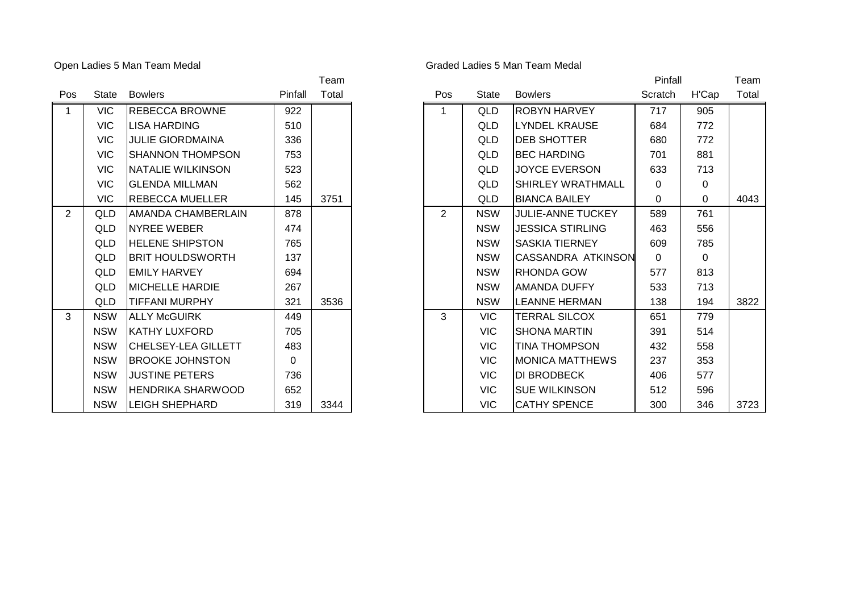## Open Ladies 5 Man Team Medal **Graded Ladies 6 Man Team Medal** Graded Ladies 5 Man Team Medal

| Pos            | State      | <b>Bowlers</b>             | Pinfall | Total |
|----------------|------------|----------------------------|---------|-------|
| 1              | <b>VIC</b> | <b>REBECCA BROWNE</b>      | 922     |       |
|                | <b>VIC</b> | <b>LISA HARDING</b>        | 510     |       |
|                | <b>VIC</b> | <b>JULIE GIORDMAINA</b>    | 336     |       |
|                | <b>VIC</b> | SHANNON THOMPSON           | 753     |       |
|                | <b>VIC</b> | NATALIE WILKINSON          | 523     |       |
|                | <b>VIC</b> | <b>GLENDA MILLMAN</b>      | 562     |       |
|                | VIC.       | REBECCA MUELLER            | 145     | 3751  |
| $\overline{2}$ | QLD        | AMANDA CHAMBERLAIN         | 878     |       |
|                | QLD        | <b>NYREE WEBER</b>         | 474     |       |
|                | QLD        | <b>HELENE SHIPSTON</b>     | 765     |       |
|                | QLD        | <b>BRIT HOULDSWORTH</b>    | 137     |       |
|                | QLD        | <b>EMILY HARVEY</b>        | 694     |       |
|                | QLD        | <b>MICHELLE HARDIE</b>     | 267     |       |
|                | QLD        | <b>TIFFANI MURPHY</b>      | 321     | 3536  |
| 3              | <b>NSW</b> | <b>ALLY McGUIRK</b>        | 449     |       |
|                | <b>NSW</b> | <b>KATHY LUXFORD</b>       | 705     |       |
|                | <b>NSW</b> | <b>CHELSEY-LEA GILLETT</b> | 483     |       |
|                | <b>NSW</b> | <b>BROOKE JOHNSTON</b>     | 0       |       |
|                | <b>NSW</b> | <b>JUSTINE PETERS</b>      | 736     |       |
|                | <b>NSW</b> | <b>HENDRIKA SHARWOOD</b>   | 652     |       |
|                | <b>NSW</b> | <b>LEIGH SHEPHARD</b>      | 319     | 3344  |

|                |            |                            |          | Team  |            |              |                            | Pinfall  |       | Team  |
|----------------|------------|----------------------------|----------|-------|------------|--------------|----------------------------|----------|-------|-------|
| Pos            | State      | <b>Bowlers</b>             | Pinfall  | Total | <b>Pos</b> | <b>State</b> | <b>Bowlers</b>             | Scratch  | H'Cap | Total |
| $\mathbf{1}$   | VIC.       | <b>REBECCA BROWNE</b>      | 922      |       |            | QLD          | <b>ROBYN HARVEY</b>        | 717      | 905   |       |
|                | <b>VIC</b> | <b>I</b> LISA HARDING      | 510      |       |            | QLD          | <b>ILYNDEL KRAUSE</b>      | 684      | 772   |       |
|                | <b>VIC</b> | <b>JULIE GIORDMAINA</b>    | 336      |       |            | QLD          | <b>DEB SHOTTER</b>         | 680      | 772   |       |
|                | <b>VIC</b> | ISHANNON THOMPSON          | 753      |       |            | QLD          | <b>BEC HARDING</b>         | 701      | 881   |       |
|                | <b>VIC</b> | <b>INATALIE WILKINSON</b>  | 523      |       |            | QLD          | <b>JOYCE EVERSON</b>       | 633      | 713   |       |
|                | <b>VIC</b> | <b>GLENDA MILLMAN</b>      | 562      |       |            | QLD          | <b>I</b> SHIRLEY WRATHMALL | $\Omega$ | 0     |       |
|                | <b>VIC</b> | <b>REBECCA MUELLER</b>     | 145      | 3751  |            | QLD          | <b>BIANCA BAILEY</b>       | $\Omega$ | 0     | 4043  |
| $\overline{2}$ | QLD        | <b>AMANDA CHAMBERLAIN</b>  | 878      |       | 2          | <b>NSW</b>   | <b>JULIE-ANNE TUCKEY</b>   | 589      | 761   |       |
|                | QLD        | <b>NYREE WEBER</b>         | 474      |       |            | <b>NSW</b>   | <b>JESSICA STIRLING</b>    | 463      | 556   |       |
|                | QLD        | <b>HELENE SHIPSTON</b>     | 765      |       |            | <b>NSW</b>   | <b>SASKIA TIERNEY</b>      | 609      | 785   |       |
|                | QLD        | <b>IBRIT HOULDSWORTH</b>   | 137      |       |            | <b>NSW</b>   | <b>CASSANDRA ATKINSON</b>  | $\Omega$ | 0     |       |
|                | <b>QLD</b> | <b>IEMILY HARVEY</b>       | 694      |       |            | <b>NSW</b>   | <b>RHONDA GOW</b>          | 577      | 813   |       |
|                | QLD        | <b>MICHELLE HARDIE</b>     | 267      |       |            | <b>NSW</b>   | AMANDA DUFFY               | 533      | 713   |       |
|                | QLD        | <b>TIFFANI MURPHY</b>      | 321      | 3536  |            | <b>NSW</b>   | <b>LEANNE HERMAN</b>       | 138      | 194   | 3822  |
| $\mathbf{3}$   | <b>NSW</b> | <b>ALLY McGUIRK</b>        | 449      |       | 3          | VIC          | <b>TERRAL SILCOX</b>       | 651      | 779   |       |
|                | <b>NSW</b> | <b>IKATHY LUXFORD</b>      | 705      |       |            | VIC          | ISHONA MARTIN              | 391      | 514   |       |
|                | <b>NSW</b> | <b>CHELSEY-LEA GILLETT</b> | 483      |       |            | <b>VIC</b>   | <b>TINA THOMPSON</b>       | 432      | 558   |       |
|                | <b>NSW</b> | <b>BROOKE JOHNSTON</b>     | $\Omega$ |       |            | <b>VIC</b>   | <b>IMONICA MATTHEWS</b>    | 237      | 353   |       |
|                | <b>NSW</b> | <b>JUSTINE PETERS</b>      | 736      |       |            | VIC          | <b>DI BRODBECK</b>         | 406      | 577   |       |
|                | <b>NSW</b> | <b>IHENDRIKA SHARWOOD</b>  | 652      |       |            | <b>VIC</b>   | <b>ISUE WILKINSON</b>      | 512      | 596   |       |
|                | <b>NSW</b> | <b>LEIGH SHEPHARD</b>      | 319      | 3344  |            | <b>VIC</b>   | <b>CATHY SPENCE</b>        | 300      | 346   | 3723  |